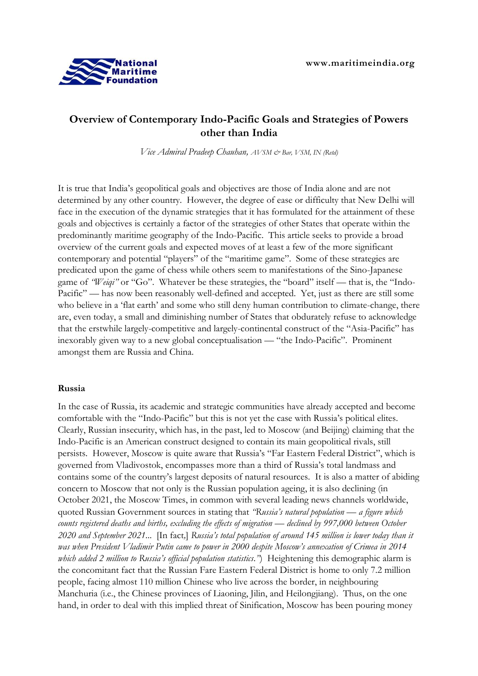

# **Overview of Contemporary Indo-Pacific Goals and Strategies of Powers other than India**

*Vice Admiral Pradeep Chauhan, AVSM & Bar, VSM, IN (Retd)*

It is true that India's geopolitical goals and objectives are those of India alone and are not determined by any other country. However, the degree of ease or difficulty that New Delhi will face in the execution of the dynamic strategies that it has formulated for the attainment of these goals and objectives is certainly a factor of the strategies of other States that operate within the predominantly maritime geography of the Indo-Pacific. This article seeks to provide a broad overview of the current goals and expected moves of at least a few of the more significant contemporary and potential "players" of the "maritime game". Some of these strategies are predicated upon the game of chess while others seem to manifestations of the Sino-Japanese game of *'Weiqi*" or "Go". Whatever be these strategies, the "board" itself — that is, the "Indo-Pacific" — has now been reasonably well-defined and accepted. Yet, just as there are still some who believe in a 'flat earth' and some who still deny human contribution to climate-change, there are, even today, a small and diminishing number of States that obdurately refuse to acknowledge that the erstwhile largely-competitive and largely-continental construct of the "Asia-Pacific" has inexorably given way to a new global conceptualisation — "the Indo-Pacific". Prominent amongst them are Russia and China.

### **Russia**

In the case of Russia, its academic and strategic communities have already accepted and become comfortable with the "Indo-Pacific" but this is not yet the case with Russia's political elites. Clearly, Russian insecurity, which has, in the past, led to Moscow (and Beijing) claiming that the Indo-Pacific is an American construct designed to contain its main geopolitical rivals, still persists. However, Moscow is quite aware that Russia's "Far Eastern Federal District", which is governed from Vladivostok, encompasses more than a third of Russia's total landmass and contains some of the country's largest deposits of natural resources. It is also a matter of abiding concern to Moscow that not only is the Russian population ageing, it is also declining (in October 2021, the Moscow Times, in common with several leading news channels worldwide, quoted Russian Government sources in stating that *"Russia's natural population — a figure which counts registered deaths and births, excluding the effects of migration — declined by 997,000 between October 2020 and September 2021...* [In fact*,*] *Russia's total population of around 145 million is lower today than it was when President Vladimir Putin came to power in 2000 despite Moscow's annexation of Crimea in 2014 which added 2 million to Russia's official population statistics*.*"*) Heightening this demographic alarm is the concomitant fact that the Russian Fare Eastern Federal District is home to only 7.2 million people, facing almost 110 million Chinese who live across the border, in neighbouring Manchuria (i.e., the Chinese provinces of Liaoning, Jilin, and Heilongjiang). Thus, on the one hand, in order to deal with this implied threat of Sinification, Moscow has been pouring money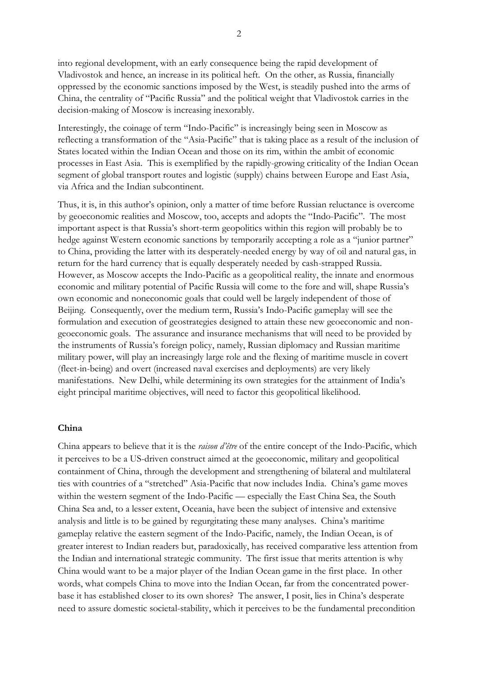into regional development, with an early consequence being the rapid development of Vladivostok and hence, an increase in its political heft. On the other, as Russia, financially oppressed by the economic sanctions imposed by the West, is steadily pushed into the arms of China, the centrality of "Pacific Russia" and the political weight that Vladivostok carries in the decision-making of Moscow is increasing inexorably.

Interestingly, the coinage of term "Indo-Pacific" is increasingly being seen in Moscow as reflecting a transformation of the "Asia-Pacific" that is taking place as a result of the inclusion of States located within the Indian Ocean and those on its rim, within the ambit of economic processes in East Asia. This is exemplified by the rapidly-growing criticality of the Indian Ocean segment of global transport routes and logistic (supply) chains between Europe and East Asia, via Africa and the Indian subcontinent.

Thus, it is, in this author's opinion, only a matter of time before Russian reluctance is overcome by geoeconomic realities and Moscow, too, accepts and adopts the "Indo-Pacific". The most important aspect is that Russia's short-term geopolitics within this region will probably be to hedge against Western economic sanctions by temporarily accepting a role as a "junior partner" to China, providing the latter with its desperately-needed energy by way of oil and natural gas, in return for the hard currency that is equally desperately needed by cash-strapped Russia. However, as Moscow accepts the Indo-Pacific as a geopolitical reality, the innate and enormous economic and military potential of Pacific Russia will come to the fore and will, shape Russia's own economic and noneconomic goals that could well be largely independent of those of Beijing. Consequently, over the medium term, Russia's Indo-Pacific gameplay will see the formulation and execution of geostrategies designed to attain these new geoeconomic and nongeoeconomic goals. The assurance and insurance mechanisms that will need to be provided by the instruments of Russia's foreign policy, namely, Russian diplomacy and Russian maritime military power, will play an increasingly large role and the flexing of maritime muscle in covert (fleet-in-being) and overt (increased naval exercises and deployments) are very likely manifestations. New Delhi, while determining its own strategies for the attainment of India's eight principal maritime objectives, will need to factor this geopolitical likelihood.

### **China**

China appears to believe that it is the *raison d'être* of the entire concept of the Indo-Pacific, which it perceives to be a US-driven construct aimed at the geoeconomic, military and geopolitical containment of China, through the development and strengthening of bilateral and multilateral ties with countries of a "stretched" Asia-Pacific that now includes India. China's game moves within the western segment of the Indo-Pacific — especially the East China Sea, the South China Sea and, to a lesser extent, Oceania, have been the subject of intensive and extensive analysis and little is to be gained by regurgitating these many analyses. China's maritime gameplay relative the eastern segment of the Indo-Pacific, namely, the Indian Ocean, is of greater interest to Indian readers but, paradoxically, has received comparative less attention from the Indian and international strategic community. The first issue that merits attention is why China would want to be a major player of the Indian Ocean game in the first place. In other words, what compels China to move into the Indian Ocean, far from the concentrated powerbase it has established closer to its own shores? The answer, I posit, lies in China's desperate need to assure domestic societal-stability, which it perceives to be the fundamental precondition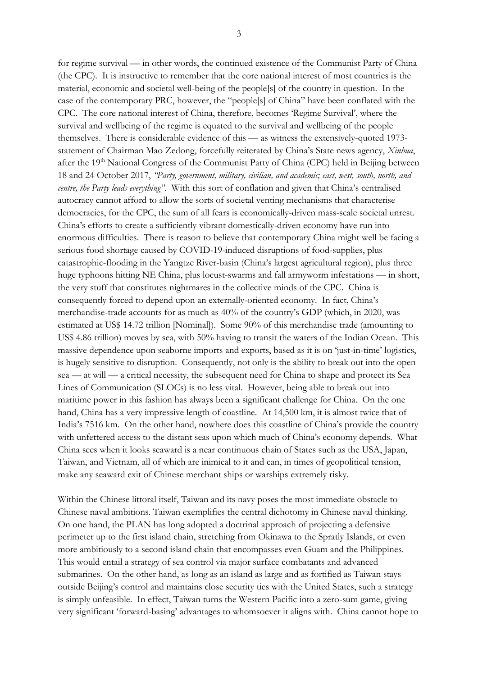for regime survival — in other words, the continued existence of the Communist Party of China

3

(the CPC). It is instructive to remember that the core national interest of most countries is the material, economic and societal well-being of the people[s] of the country in question. In the case of the contemporary PRC, however, the "people[s] of China" have been conflated with the CPC. The core national interest of China, therefore, becomes 'Regime Survival', where the survival and wellbeing of the regime is equated to the survival and wellbeing of the people themselves. There is considerable evidence of this — as witness the extensively-quoted 1973 statement of Chairman Mao Zedong, forcefully reiterated by China's State news agency, *Xinhua*, after the 19<sup>th</sup> National Congress of the Communist Party of China (CPC) held in Beijing between 18 and 24 October 2017, *"Party, government, military, civilian, and academic; east, west, south, north, and centre, the Party leads everything"*. With this sort of conflation and given that China's centralised autocracy cannot afford to allow the sorts of societal venting mechanisms that characterise democracies, for the CPC, the sum of all fears is economically-driven mass-scale societal unrest. China's efforts to create a sufficiently vibrant domestically-driven economy have run into enormous difficulties. There is reason to believe that contemporary China might well be facing a serious food shortage caused by COVID-19-induced disruptions of food-supplies, plus catastrophic-flooding in the Yangtze River-basin (China's largest agricultural region), plus three huge typhoons hitting NE China, plus locust-swarms and fall armyworm infestations — in short, the very stuff that constitutes nightmares in the collective minds of the CPC. China is consequently forced to depend upon an externally-oriented economy. In fact, China's merchandise-trade accounts for as much as 40% of the country's GDP (which, in 2020, was estimated at US\$ 14.72 trillion [Nominal]). Some 90% of this merchandise trade (amounting to US\$ 4.86 trillion) moves by sea, with 50% having to transit the waters of the Indian Ocean. This massive dependence upon seaborne imports and exports, based as it is on 'just-in-time' logistics, is hugely sensitive to disruption. Consequently, not only is the ability to break out into the open sea — at will — a critical necessity, the subsequent need for China to shape and protect its Sea Lines of Communication (SLOCs) is no less vital. However, being able to break out into maritime power in this fashion has always been a significant challenge for China. On the one hand, China has a very impressive length of coastline. At 14,500 km, it is almost twice that of India's 7516 km. On the other hand, nowhere does this coastline of China's provide the country with unfettered access to the distant seas upon which much of China's economy depends. What China sees when it looks seaward is a near continuous chain of States such as the USA, Japan, Taiwan, and Vietnam, all of which are inimical to it and can, in times of geopolitical tension, make any seaward exit of Chinese merchant ships or warships extremely risky.

Within the Chinese littoral itself, Taiwan and its navy poses the most immediate obstacle to Chinese naval ambitions. Taiwan exemplifies the central dichotomy in Chinese naval thinking. On one hand, the PLAN has long adopted a doctrinal approach of projecting a defensive perimeter up to the first island chain, stretching from Okinawa to the Spratly Islands, or even more ambitiously to a second island chain that encompasses even Guam and the Philippines. This would entail a strategy of sea control via major surface combatants and advanced submarines. On the other hand, as long as an island as large and as fortified as Taiwan stays outside Beijing's control and maintains close security ties with the United States, such a strategy is simply unfeasible. In effect, Taiwan turns the Western Pacific into a zero-sum game, giving very significant 'forward-basing' advantages to whomsoever it aligns with. China cannot hope to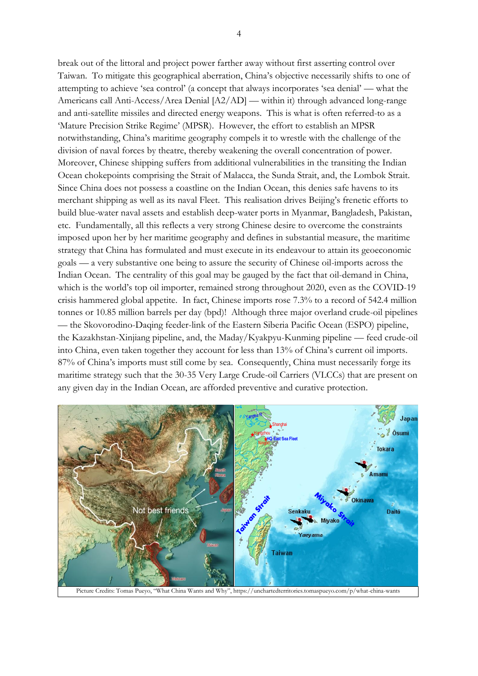break out of the littoral and project power farther away without first asserting control over Taiwan. To mitigate this geographical aberration, China's objective necessarily shifts to one of attempting to achieve 'sea control' (a concept that always incorporates 'sea denial' — what the Americans call Anti-Access/Area Denial [A2/AD] — within it) through advanced long-range and anti-satellite missiles and directed energy weapons. This is what is often referred-to as a 'Mature Precision Strike Regime' (MPSR). However, the effort to establish an MPSR notwithstanding, China's maritime geography compels it to wrestle with the challenge of the division of naval forces by theatre, thereby weakening the overall concentration of power. Moreover, Chinese shipping suffers from additional vulnerabilities in the transiting the Indian Ocean chokepoints comprising the Strait of Malacca, the Sunda Strait, and, the Lombok Strait. Since China does not possess a coastline on the Indian Ocean, this denies safe havens to its merchant shipping as well as its naval Fleet. This realisation drives Beijing's frenetic efforts to build blue-water naval assets and establish deep-water ports in Myanmar, Bangladesh, Pakistan, etc. Fundamentally, all this reflects a very strong Chinese desire to overcome the constraints imposed upon her by her maritime geography and defines in substantial measure, the maritime strategy that China has formulated and must execute in its endeavour to attain its geoeconomic goals — a very substantive one being to assure the security of Chinese oil-imports across the Indian Ocean. The centrality of this goal may be gauged by the fact that oil-demand in China, which is the world's top oil importer, remained strong throughout 2020, even as the COVID-19 crisis hammered global appetite. In fact, Chinese imports rose 7.3% to a record of 542.4 million tonnes or 10.85 million barrels per day (bpd)! Although three major overland crude-oil pipelines — the Skovorodino-Daqing feeder-link of the Eastern Siberia Pacific Ocean (ESPO) pipeline, the Kazakhstan-Xinjiang pipeline, and, the Maday/Kyakpyu-Kunming pipeline — feed crude-oil into China, even taken together they account for less than 13% of China's current oil imports. 87% of China's imports must still come by sea. Consequently, China must necessarily forge its maritime strategy such that the 30-35 Very Large Crude-oil Carriers (VLCCs) that are present on any given day in the Indian Ocean, are afforded preventive and curative protection.



Picture Credits: Tomas Pueyo, "What China Wants and Why", https://unchartedterritories.tomaspueyo.com/p/what-china-wants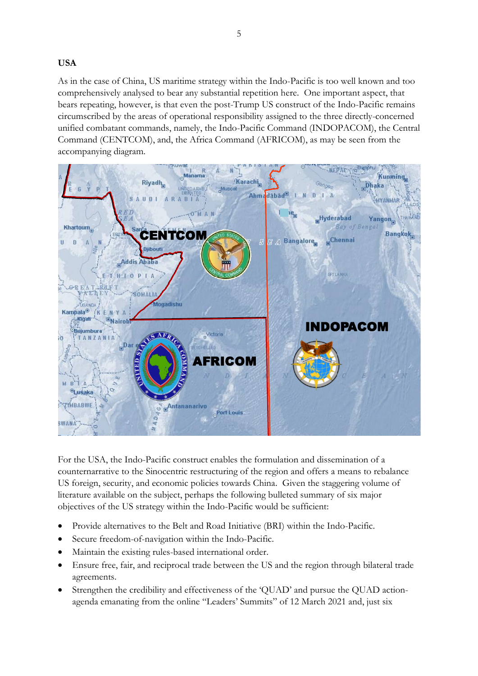**USA**

As in the case of China, US maritime strategy within the Indo-Pacific is too well known and too comprehensively analysed to bear any substantial repetition here. One important aspect, that bears repeating, however, is that even the post-Trump US construct of the Indo-Pacific remains circumscribed by the areas of operational responsibility assigned to the three directly-concerned unified combatant commands, namely, the Indo-Pacific Command (INDOPACOM), the Central Command (CENTCOM), and, the Africa Command (AFRICOM), as may be seen from the accompanying diagram.



For the USA, the Indo-Pacific construct enables the formulation and dissemination of a counternarrative to the Sinocentric restructuring of the region and offers a means to rebalance US foreign, security, and economic policies towards China. Given the staggering volume of literature available on the subject, perhaps the following bulleted summary of six major objectives of the US strategy within the Indo-Pacific would be sufficient:

- Provide alternatives to the Belt and Road Initiative (BRI) within the Indo-Pacific.
- Secure freedom-of-navigation within the Indo-Pacific.
- Maintain the existing rules-based international order.
- Ensure free, fair, and reciprocal trade between the US and the region through bilateral trade agreements.
- Strengthen the credibility and effectiveness of the 'QUAD' and pursue the QUAD actionagenda emanating from the online "Leaders' Summits" of 12 March 2021 and, just six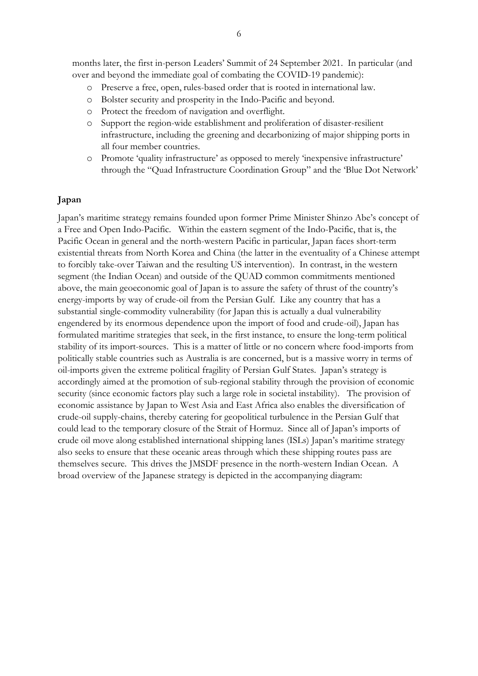months later, the first in-person Leaders' Summit of 24 September 2021. In particular (and over and beyond the immediate goal of combating the COVID-19 pandemic):

- Preserve a free, open, rules-based order that is rooted in international law.
- o Bolster security and prosperity in the Indo-Pacific and beyond.
- o Protect the freedom of navigation and overflight.
- o Support the region-wide establishment and proliferation of disaster-resilient infrastructure, including the greening and decarbonizing of major shipping ports in all four member countries.
- o Promote 'quality infrastructure' as opposed to merely 'inexpensive infrastructure' through the "Quad Infrastructure Coordination Group" and the 'Blue Dot Network'

### **Japan**

Japan's maritime strategy remains founded upon former Prime Minister Shinzo Abe's concept of a Free and Open Indo-Pacific. Within the eastern segment of the Indo-Pacific, that is, the Pacific Ocean in general and the north-western Pacific in particular, Japan faces short-term existential threats from North Korea and China (the latter in the eventuality of a Chinese attempt to forcibly take-over Taiwan and the resulting US intervention). In contrast, in the western segment (the Indian Ocean) and outside of the QUAD common commitments mentioned above, the main geoeconomic goal of Japan is to assure the safety of thrust of the country's energy-imports by way of crude-oil from the Persian Gulf. Like any country that has a substantial single-commodity vulnerability (for Japan this is actually a dual vulnerability engendered by its enormous dependence upon the import of food and crude-oil), Japan has formulated maritime strategies that seek, in the first instance, to ensure the long-term political stability of its import-sources. This is a matter of little or no concern where food-imports from politically stable countries such as Australia is are concerned, but is a massive worry in terms of oil-imports given the extreme political fragility of Persian Gulf States. Japan's strategy is accordingly aimed at the promotion of sub-regional stability through the provision of economic security (since economic factors play such a large role in societal instability). The provision of economic assistance by Japan to West Asia and East Africa also enables the diversification of crude-oil supply-chains, thereby catering for geopolitical turbulence in the Persian Gulf that could lead to the temporary closure of the Strait of Hormuz. Since all of Japan's imports of crude oil move along established international shipping lanes (ISLs) Japan's maritime strategy also seeks to ensure that these oceanic areas through which these shipping routes pass are themselves secure. This drives the JMSDF presence in the north-western Indian Ocean. A broad overview of the Japanese strategy is depicted in the accompanying diagram: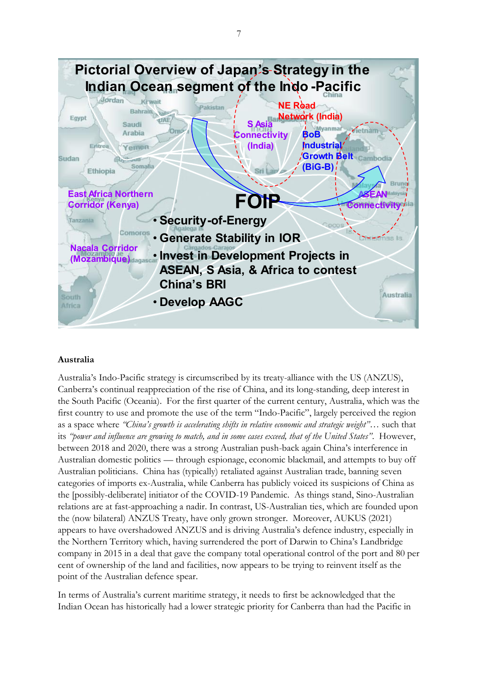

## **Australia**

Australia's Indo-Pacific strategy is circumscribed by its treaty-alliance with the US (ANZUS), Canberra's continual reappreciation of the rise of China, and its long-standing, deep interest in the South Pacific (Oceania). For the first quarter of the current century, Australia, which was the first country to use and promote the use of the term "Indo-Pacific", largely perceived the region as a space where *"China's growth is accelerating shifts in relative economic and strategic weight"*… such that its *"power and influence are growing to match, and in some cases exceed, that of the United States"*. However, between 2018 and 2020, there was a strong Australian push-back again China's interference in Australian domestic politics — through espionage, economic blackmail, and attempts to buy off Australian politicians. China has (typically) retaliated against Australian trade, banning seven categories of imports ex-Australia, while Canberra has publicly voiced its suspicions of China as the [possibly-deliberate] initiator of the COVID-19 Pandemic. As things stand, Sino-Australian relations are at fast-approaching a nadir. In contrast, US-Australian ties, which are founded upon the (now bilateral) ANZUS Treaty, have only grown stronger. Moreover, AUKUS (2021) appears to have overshadowed ANZUS and is driving Australia's defence industry, especially in the Northern Territory which, having surrendered the port of Darwin to China's Landbridge company in 2015 in a deal that gave the company total operational control of the port and 80 per cent of ownership of the land and facilities, now appears to be trying to reinvent itself as the point of the Australian defence spear.

In terms of Australia's current maritime strategy, it needs to first be acknowledged that the Indian Ocean has historically had a lower strategic priority for Canberra than had the Pacific in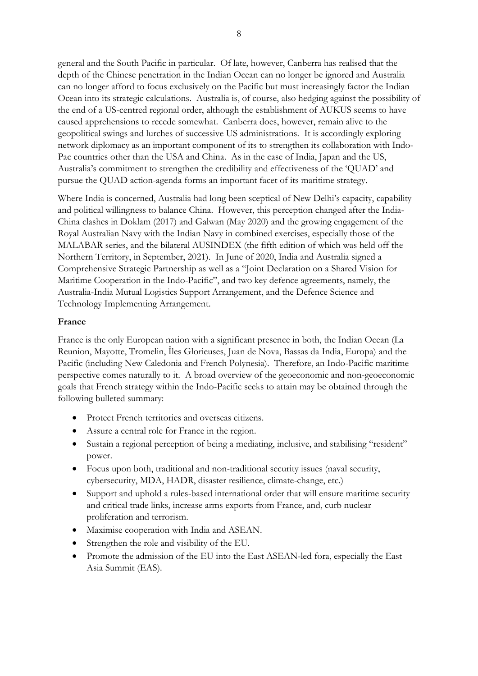general and the South Pacific in particular. Of late, however, Canberra has realised that the depth of the Chinese penetration in the Indian Ocean can no longer be ignored and Australia can no longer afford to focus exclusively on the Pacific but must increasingly factor the Indian Ocean into its strategic calculations. Australia is, of course, also hedging against the possibility of the end of a US-centred regional order, although the establishment of AUKUS seems to have caused apprehensions to recede somewhat. Canberra does, however, remain alive to the geopolitical swings and lurches of successive US administrations. It is accordingly exploring network diplomacy as an important component of its to strengthen its collaboration with Indo-Pac countries other than the USA and China. As in the case of India, Japan and the US, Australia's commitment to strengthen the credibility and effectiveness of the 'QUAD' and pursue the QUAD action-agenda forms an important facet of its maritime strategy.

Where India is concerned, Australia had long been sceptical of New Delhi's capacity, capability and political willingness to balance China. However, this perception changed after the India-China clashes in Doklam (2017) and Galwan (May 2020) and the growing engagement of the Royal Australian Navy with the Indian Navy in combined exercises, especially those of the MALABAR series, and the bilateral AUSINDEX (the fifth edition of which was held off the Northern Territory, in September, 2021). In June of 2020, India and Australia signed a Comprehensive Strategic Partnership as well as a "Joint Declaration on a Shared Vision for Maritime Cooperation in the Indo-Pacific", and two key defence agreements, namely, the Australia-India Mutual Logistics Support Arrangement, and the Defence Science and Technology Implementing Arrangement.

## **France**

France is the only European nation with a significant presence in both, the Indian Ocean (La Reunion, Mayotte, Tromelin, Îles Glorieuses, Juan de Nova, Bassas da India, Europa) and the Pacific (including New Caledonia and French Polynesia). Therefore, an Indo-Pacific maritime perspective comes naturally to it. A broad overview of the geoeconomic and non-geoeconomic goals that French strategy within the Indo-Pacific seeks to attain may be obtained through the following bulleted summary:

- Protect French territories and overseas citizens.
- Assure a central role for France in the region.
- Sustain a regional perception of being a mediating, inclusive, and stabilising "resident" power.
- Focus upon both, traditional and non-traditional security issues (naval security, cybersecurity, MDA, HADR, disaster resilience, climate-change, etc.)
- Support and uphold a rules-based international order that will ensure maritime security and critical trade links, increase arms exports from France, and, curb nuclear proliferation and terrorism.
- Maximise cooperation with India and ASEAN.
- Strengthen the role and visibility of the EU.
- Promote the admission of the EU into the East ASEAN-led fora, especially the East Asia Summit (EAS).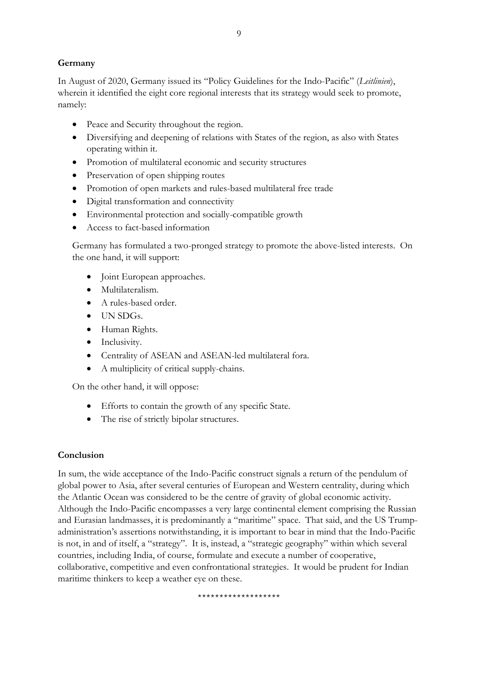## **Germany**

In August of 2020, Germany issued its "Policy Guidelines for the Indo-Pacific" (*Leitlinien*), wherein it identified the eight core regional interests that its strategy would seek to promote, namely:

- Peace and Security throughout the region.
- Diversifying and deepening of relations with States of the region, as also with States operating within it.
- Promotion of multilateral economic and security structures
- Preservation of open shipping routes
- Promotion of open markets and rules-based multilateral free trade
- Digital transformation and connectivity
- Environmental protection and socially-compatible growth
- Access to fact-based information

Germany has formulated a two-pronged strategy to promote the above-listed interests. On the one hand, it will support:

- Joint European approaches.
- Multilateralism.
- A rules-based order.
- UN SDGs.
- Human Rights.
- Inclusivity.
- Centrality of ASEAN and ASEAN-led multilateral fora.
- A multiplicity of critical supply-chains.

On the other hand, it will oppose:

- Efforts to contain the growth of any specific State.
- The rise of strictly bipolar structures.

## **Conclusion**

In sum, the wide acceptance of the Indo-Pacific construct signals a return of the pendulum of global power to Asia, after several centuries of European and Western centrality, during which the Atlantic Ocean was considered to be the centre of gravity of global economic activity. Although the Indo-Pacific encompasses a very large continental element comprising the Russian and Eurasian landmasses, it is predominantly a "maritime" space. That said, and the US Trumpadministration's assertions notwithstanding, it is important to bear in mind that the Indo-Pacific is not, in and of itself, a "strategy". It is, instead, a "strategic geography" within which several countries, including India, of course, formulate and execute a number of cooperative, collaborative, competitive and even confrontational strategies. It would be prudent for Indian maritime thinkers to keep a weather eye on these.

\*\*\*\*\*\*\*\*\*\*\*\*\*\*\*\*\*\*\*